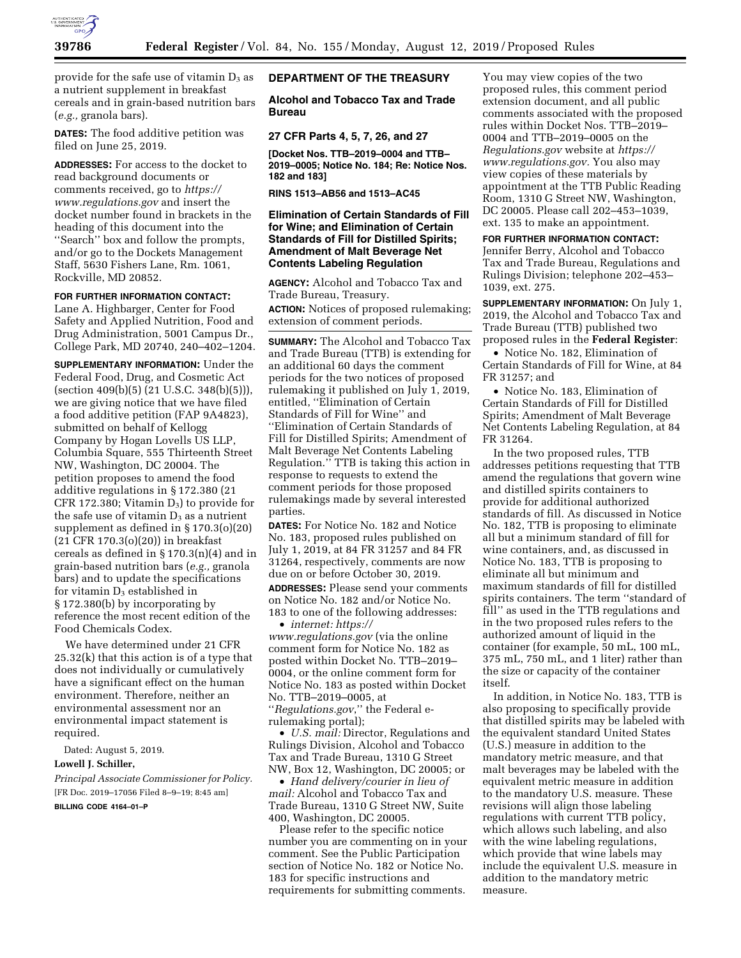

provide for the safe use of vitamin  $D_3$  as a nutrient supplement in breakfast cereals and in grain-based nutrition bars (*e.g.,* granola bars).

**DATES:** The food additive petition was filed on June 25, 2019.

**ADDRESSES:** For access to the docket to read background documents or comments received, go to *[https://](https://www.regulations.gov) [www.regulations.gov](https://www.regulations.gov)* and insert the docket number found in brackets in the heading of this document into the ''Search'' box and follow the prompts, and/or go to the Dockets Management Staff, 5630 Fishers Lane, Rm. 1061, Rockville, MD 20852.

#### **FOR FURTHER INFORMATION CONTACT:**

Lane A. Highbarger, Center for Food Safety and Applied Nutrition, Food and Drug Administration, 5001 Campus Dr., College Park, MD 20740, 240–402–1204.

**SUPPLEMENTARY INFORMATION:** Under the Federal Food, Drug, and Cosmetic Act (section 409(b)(5) (21 U.S.C. 348(b)(5))), we are giving notice that we have filed a food additive petition (FAP 9A4823), submitted on behalf of Kellogg Company by Hogan Lovells US LLP, Columbia Square, 555 Thirteenth Street NW, Washington, DC 20004. The petition proposes to amend the food additive regulations in § 172.380 (21 CFR 172.380; Vitamin  $D_3$ ) to provide for the safe use of vitamin  $D_3$  as a nutrient supplement as defined in § 170.3(o)(20) (21 CFR 170.3(o)(20)) in breakfast cereals as defined in § 170.3(n)(4) and in grain-based nutrition bars (*e.g.,* granola bars) and to update the specifications for vitamin  $D_3$  established in § 172.380(b) by incorporating by reference the most recent edition of the Food Chemicals Codex.

We have determined under 21 CFR 25.32(k) that this action is of a type that does not individually or cumulatively have a significant effect on the human environment. Therefore, neither an environmental assessment nor an environmental impact statement is required.

Dated: August 5, 2019.

### **Lowell J. Schiller,**

*Principal Associate Commissioner for Policy.*  [FR Doc. 2019–17056 Filed 8–9–19; 8:45 am] **BILLING CODE 4164–01–P** 

#### **DEPARTMENT OF THE TREASURY**

**Alcohol and Tobacco Tax and Trade Bureau** 

## **27 CFR Parts 4, 5, 7, 26, and 27**

**[Docket Nos. TTB–2019–0004 and TTB– 2019–0005; Notice No. 184; Re: Notice Nos. 182 and 183]** 

#### **RINS 1513–AB56 and 1513–AC45**

# **Elimination of Certain Standards of Fill for Wine; and Elimination of Certain Standards of Fill for Distilled Spirits; Amendment of Malt Beverage Net Contents Labeling Regulation**

**AGENCY:** Alcohol and Tobacco Tax and Trade Bureau, Treasury.

**ACTION:** Notices of proposed rulemaking; extension of comment periods.

**SUMMARY:** The Alcohol and Tobacco Tax and Trade Bureau (TTB) is extending for an additional 60 days the comment periods for the two notices of proposed rulemaking it published on July 1, 2019, entitled, ''Elimination of Certain Standards of Fill for Wine'' and ''Elimination of Certain Standards of Fill for Distilled Spirits; Amendment of Malt Beverage Net Contents Labeling Regulation.'' TTB is taking this action in response to requests to extend the comment periods for those proposed rulemakings made by several interested parties.

**DATES:** For Notice No. 182 and Notice No. 183, proposed rules published on July 1, 2019, at 84 FR 31257 and 84 FR 31264, respectively, comments are now due on or before October 30, 2019.

**ADDRESSES:** Please send your comments on Notice No. 182 and/or Notice No. 183 to one of the following addresses:

• *internet: [https://](https://www.regulations.gov) [www.regulations.gov](https://www.regulations.gov)* (via the online comment form for Notice No. 182 as posted within Docket No. TTB–2019– 0004, or the online comment form for Notice No. 183 as posted within Docket No. TTB–2019–0005, at

''*Regulations.gov*,'' the Federal erulemaking portal);

• *U.S. mail:* Director, Regulations and Rulings Division, Alcohol and Tobacco Tax and Trade Bureau, 1310 G Street NW, Box 12, Washington, DC 20005; or

• *Hand delivery/courier in lieu of mail:* Alcohol and Tobacco Tax and Trade Bureau, 1310 G Street NW, Suite 400, Washington, DC 20005.

Please refer to the specific notice number you are commenting on in your comment. See the Public Participation section of Notice No. 182 or Notice No. 183 for specific instructions and requirements for submitting comments.

You may view copies of the two proposed rules, this comment period extension document, and all public comments associated with the proposed rules within Docket Nos. TTB–2019– 0004 and TTB–2019–0005 on the *Regulations.gov* website at *[https://](https://www.regulations.gov) [www.regulations.gov.](https://www.regulations.gov)* You also may view copies of these materials by appointment at the TTB Public Reading Room, 1310 G Street NW, Washington, DC 20005. Please call 202–453–1039, ext. 135 to make an appointment.

# **FOR FURTHER INFORMATION CONTACT:**

Jennifer Berry, Alcohol and Tobacco Tax and Trade Bureau, Regulations and Rulings Division; telephone 202–453– 1039, ext. 275.

**SUPPLEMENTARY INFORMATION:** On July 1, 2019, the Alcohol and Tobacco Tax and Trade Bureau (TTB) published two proposed rules in the **Federal Register**:

• Notice No. 182, Elimination of Certain Standards of Fill for Wine, at 84 FR 31257; and

• Notice No. 183, Elimination of Certain Standards of Fill for Distilled Spirits; Amendment of Malt Beverage Net Contents Labeling Regulation, at 84 FR 31264.

In the two proposed rules, TTB addresses petitions requesting that TTB amend the regulations that govern wine and distilled spirits containers to provide for additional authorized standards of fill. As discussed in Notice No. 182, TTB is proposing to eliminate all but a minimum standard of fill for wine containers, and, as discussed in Notice No. 183, TTB is proposing to eliminate all but minimum and maximum standards of fill for distilled spirits containers. The term ''standard of fill" as used in the TTB regulations and in the two proposed rules refers to the authorized amount of liquid in the container (for example, 50 mL, 100 mL, 375 mL, 750 mL, and 1 liter) rather than the size or capacity of the container itself.

In addition, in Notice No. 183, TTB is also proposing to specifically provide that distilled spirits may be labeled with the equivalent standard United States (U.S.) measure in addition to the mandatory metric measure, and that malt beverages may be labeled with the equivalent metric measure in addition to the mandatory U.S. measure. These revisions will align those labeling regulations with current TTB policy, which allows such labeling, and also with the wine labeling regulations, which provide that wine labels may include the equivalent U.S. measure in addition to the mandatory metric measure.